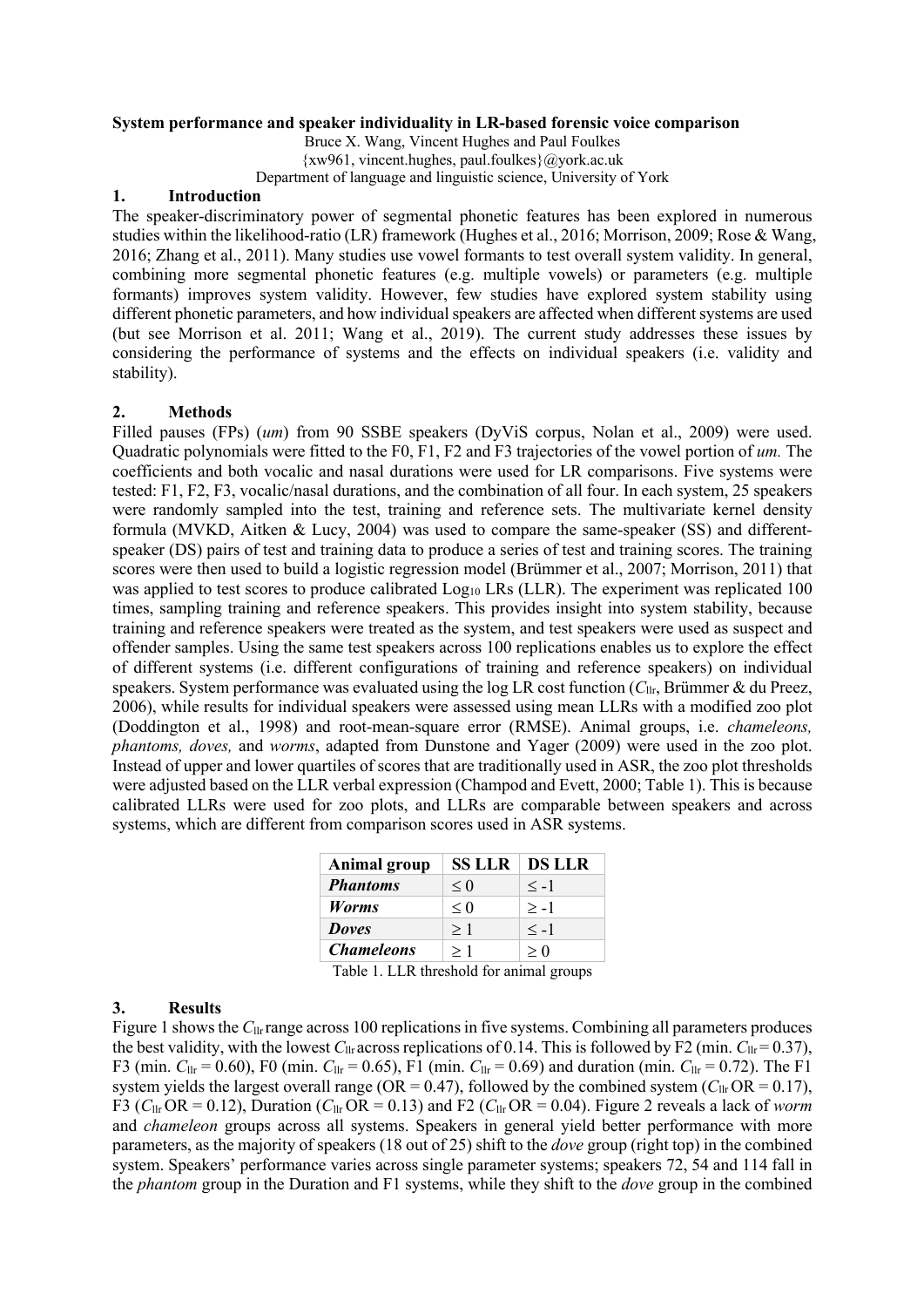# **System performance and speaker individuality in LR-based forensic voice comparison**

Bruce X. Wang, Vincent Hughes and Paul Foulkes {xw961, vincent.hughes, paul.foulkes}@york.ac.uk

Department of language and linguistic science, University of York

# **1. Introduction**

The speaker-discriminatory power of segmental phonetic features has been explored in numerous studies within the likelihood-ratio (LR) framework (Hughes et al., 2016; Morrison, 2009; Rose & Wang, 2016; Zhang et al., 2011). Many studies use vowel formants to test overall system validity. In general, combining more segmental phonetic features (e.g. multiple vowels) or parameters (e.g. multiple formants) improves system validity. However, few studies have explored system stability using different phonetic parameters, and how individual speakers are affected when different systems are used (but see Morrison et al. 2011; Wang et al., 2019). The current study addresses these issues by considering the performance of systems and the effects on individual speakers (i.e. validity and stability).

# **2. Methods**

Filled pauses (FPs) (*um*) from 90 SSBE speakers (DyViS corpus, Nolan et al., 2009) were used. Quadratic polynomials were fitted to the F0, F1, F2 and F3 trajectories of the vowel portion of *um.* The coefficients and both vocalic and nasal durations were used for LR comparisons. Five systems were tested: F1, F2, F3, vocalic/nasal durations, and the combination of all four. In each system, 25 speakers were randomly sampled into the test, training and reference sets. The multivariate kernel density formula (MVKD, Aitken & Lucy, 2004) was used to compare the same-speaker (SS) and differentspeaker (DS) pairs of test and training data to produce a series of test and training scores. The training scores were then used to build a logistic regression model (Brümmer et al., 2007; Morrison, 2011) that was applied to test scores to produce calibrated  $Log_{10}$  LRs (LLR). The experiment was replicated 100 times, sampling training and reference speakers. This provides insight into system stability, because training and reference speakers were treated as the system, and test speakers were used as suspect and offender samples. Using the same test speakers across 100 replications enables us to explore the effect of different systems (i.e. different configurations of training and reference speakers) on individual speakers. System performance was evaluated using the log LR cost function (*C*llr, Brümmer & du Preez, 2006), while results for individual speakers were assessed using mean LLRs with a modified zoo plot (Doddington et al., 1998) and root-mean-square error (RMSE). Animal groups, i.e. *chameleons, phantoms, doves,* and *worms*, adapted from Dunstone and Yager (2009) were used in the zoo plot. Instead of upper and lower quartiles of scores that are traditionally used in ASR, the zoo plot thresholds were adjusted based on the LLR verbal expression (Champod and Evett, 2000; Table 1). This is because calibrated LLRs were used for zoo plots, and LLRs are comparable between speakers and across systems, which are different from comparison scores used in ASR systems.

| <b>Animal group</b> | <b>SS LLR</b> | <b>DS LLR</b> |
|---------------------|---------------|---------------|
| <b>Phantoms</b>     | $\leq 0$      | $\leq -1$     |
| <b>Worms</b>        | $\leq 0$      | $> -1$        |
| <b>Doves</b>        | >1            | $\leq -1$     |
| <b>Chameleons</b>   | >1            | > 0           |

Table 1. LLR threshold for animal groups

# **3. Results**

Figure 1 shows the C<sub>llr</sub> range across 100 replications in five systems. Combining all parameters produces the best validity, with the lowest  $C_{llr}$  across replications of 0.14. This is followed by F2 (min.  $C_{llr}$ = 0.37), F3 (min.  $C_{\text{llr}} = 0.60$ ), F0 (min.  $C_{\text{llr}} = 0.65$ ), F1 (min.  $C_{\text{llr}} = 0.69$ ) and duration (min.  $C_{\text{llr}} = 0.72$ ). The F1 system yields the largest overall range (OR = 0.47), followed by the combined system ( $C_{\text{llr}}$  OR = 0.17), F3 ( $C_{\text{llr}}$  OR = 0.12), Duration ( $C_{\text{llr}}$  OR = 0.13) and F2 ( $C_{\text{llr}}$  OR = 0.04). Figure 2 reveals a lack of *worm* and *chameleon* groups across all systems. Speakers in general yield better performance with more parameters, as the majority of speakers (18 out of 25) shift to the *dove* group (right top) in the combined system. Speakers' performance varies across single parameter systems; speakers 72, 54 and 114 fall in the *phantom* group in the Duration and F1 systems, while they shift to the *dove* group in the combined